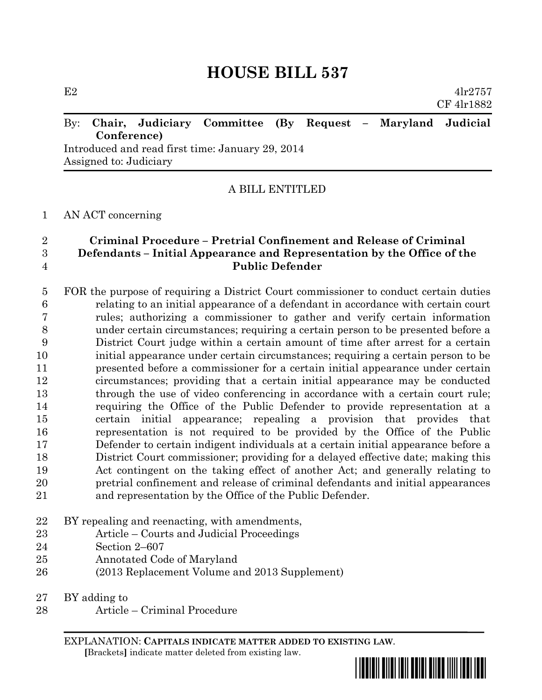# **HOUSE BILL 537**

E2  $4\text{lr}2757$ CF 4lr1882

### By: **Chair, Judiciary Committee (By Request – Maryland Judicial Conference)**

Introduced and read first time: January 29, 2014 Assigned to: Judiciary

#### A BILL ENTITLED

#### AN ACT concerning

### **Criminal Procedure – Pretrial Confinement and Release of Criminal Defendants – Initial Appearance and Representation by the Office of the Public Defender**

 FOR the purpose of requiring a District Court commissioner to conduct certain duties relating to an initial appearance of a defendant in accordance with certain court rules; authorizing a commissioner to gather and verify certain information under certain circumstances; requiring a certain person to be presented before a District Court judge within a certain amount of time after arrest for a certain initial appearance under certain circumstances; requiring a certain person to be presented before a commissioner for a certain initial appearance under certain circumstances; providing that a certain initial appearance may be conducted through the use of video conferencing in accordance with a certain court rule; requiring the Office of the Public Defender to provide representation at a certain initial appearance; repealing a provision that provides that representation is not required to be provided by the Office of the Public Defender to certain indigent individuals at a certain initial appearance before a District Court commissioner; providing for a delayed effective date; making this Act contingent on the taking effect of another Act; and generally relating to pretrial confinement and release of criminal defendants and initial appearances and representation by the Office of the Public Defender.

- BY repealing and reenacting, with amendments,
- Article Courts and Judicial Proceedings
- Section 2–607
- Annotated Code of Maryland
- (2013 Replacement Volume and 2013 Supplement)

BY adding to

Article – Criminal Procedure

EXPLANATION: **CAPITALS INDICATE MATTER ADDED TO EXISTING LAW**.  **[**Brackets**]** indicate matter deleted from existing law.

\*hb0537\*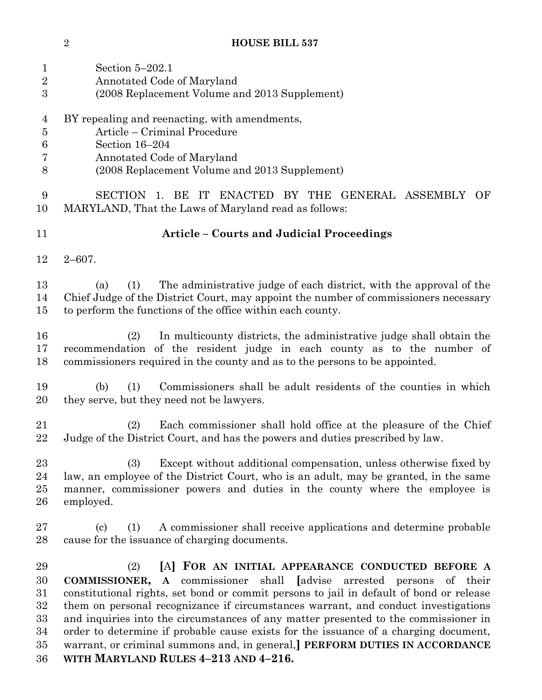## **HOUSE BILL 537**

| $\mathbf{1}$<br>$\overline{2}$<br>3          | Section $5-202.1$<br>Annotated Code of Maryland<br>(2008 Replacement Volume and 2013 Supplement)                                                                                                                                                                                                                                                                                                                                                                                                                                                                                                                                  |
|----------------------------------------------|-----------------------------------------------------------------------------------------------------------------------------------------------------------------------------------------------------------------------------------------------------------------------------------------------------------------------------------------------------------------------------------------------------------------------------------------------------------------------------------------------------------------------------------------------------------------------------------------------------------------------------------|
| 4<br>$\overline{5}$<br>6<br>7<br>8           | BY repealing and reenacting, with amendments,<br>Article - Criminal Procedure<br>Section 16-204<br>Annotated Code of Maryland<br>(2008 Replacement Volume and 2013 Supplement)                                                                                                                                                                                                                                                                                                                                                                                                                                                    |
| $\boldsymbol{9}$<br>10                       | <b>SECTION</b><br>BE<br>ENACTED BY THE GENERAL ASSEMBLY<br>$\overline{1}$ .<br>IT<br>OF<br>MARYLAND, That the Laws of Maryland read as follows:                                                                                                                                                                                                                                                                                                                                                                                                                                                                                   |
| 11                                           | <b>Article - Courts and Judicial Proceedings</b>                                                                                                                                                                                                                                                                                                                                                                                                                                                                                                                                                                                  |
| 12                                           | $2 - 607$ .                                                                                                                                                                                                                                                                                                                                                                                                                                                                                                                                                                                                                       |
| 13<br>14<br>15                               | The administrative judge of each district, with the approval of the<br>(1)<br>(a)<br>Chief Judge of the District Court, may appoint the number of commissioners necessary<br>to perform the functions of the office within each county.                                                                                                                                                                                                                                                                                                                                                                                           |
| 16<br>17<br>18                               | In multicounty districts, the administrative judge shall obtain the<br>(2)<br>recommendation of the resident judge in each county as to the number of<br>commissioners required in the county and as to the persons to be appointed.                                                                                                                                                                                                                                                                                                                                                                                              |
| 19<br>20                                     | Commissioners shall be adult residents of the counties in which<br>(1)<br>(b)<br>they serve, but they need not be lawyers.                                                                                                                                                                                                                                                                                                                                                                                                                                                                                                        |
| 21<br>22                                     | Each commissioner shall hold office at the pleasure of the Chief<br>(2)<br>Judge of the District Court, and has the powers and duties prescribed by law.                                                                                                                                                                                                                                                                                                                                                                                                                                                                          |
| 23<br>24<br>25<br>26                         | Except without additional compensation, unless otherwise fixed by<br>(3)<br>law, an employee of the District Court, who is an adult, may be granted, in the same<br>manner, commissioner powers and duties in the county where the employee is<br>employed.                                                                                                                                                                                                                                                                                                                                                                       |
| 27<br>28                                     | A commissioner shall receive applications and determine probable<br>(1)<br>(c)<br>cause for the issuance of charging documents.                                                                                                                                                                                                                                                                                                                                                                                                                                                                                                   |
| 29<br>30<br>31<br>32<br>33<br>34<br>35<br>36 | (2)<br>[A] FOR AN INITIAL APPEARANCE CONDUCTED BEFORE A<br>A commissioner shall<br>advise arrested persons of their<br><b>COMMISSIONER,</b><br>constitutional rights, set bond or commit persons to jail in default of bond or release<br>them on personal recognizance if circumstances warrant, and conduct investigations<br>and inquiries into the circumstances of any matter presented to the commissioner in<br>order to determine if probable cause exists for the issuance of a charging document,<br>warrant, or criminal summons and, in general, PERFORM DUTIES IN ACCORDANCE<br>WITH MARYLAND RULES 4-213 AND 4-216. |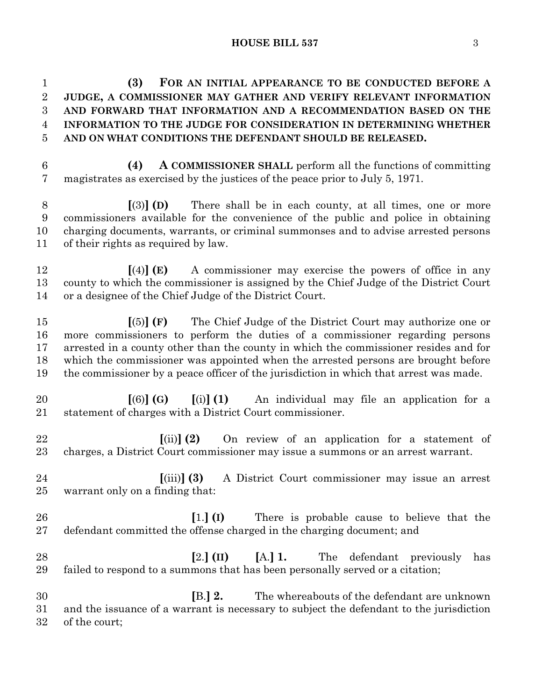#### **HOUSE BILL 537** 3

 **(3) FOR AN INITIAL APPEARANCE TO BE CONDUCTED BEFORE A JUDGE, A COMMISSIONER MAY GATHER AND VERIFY RELEVANT INFORMATION AND FORWARD THAT INFORMATION AND A RECOMMENDATION BASED ON THE INFORMATION TO THE JUDGE FOR CONSIDERATION IN DETERMINING WHETHER AND ON WHAT CONDITIONS THE DEFENDANT SHOULD BE RELEASED.**

 **(4) A COMMISSIONER SHALL** perform all the functions of committing magistrates as exercised by the justices of the peace prior to July 5, 1971.

 **[**(3)**] (D)** There shall be in each county, at all times, one or more commissioners available for the convenience of the public and police in obtaining charging documents, warrants, or criminal summonses and to advise arrested persons of their rights as required by law.

 **[**(4)**] (E)** A commissioner may exercise the powers of office in any county to which the commissioner is assigned by the Chief Judge of the District Court or a designee of the Chief Judge of the District Court.

 **[**(5)**] (F)** The Chief Judge of the District Court may authorize one or more commissioners to perform the duties of a commissioner regarding persons arrested in a county other than the county in which the commissioner resides and for which the commissioner was appointed when the arrested persons are brought before the commissioner by a peace officer of the jurisdiction in which that arrest was made.

 **[**(6)**] (G) [**(i)**] (1)** An individual may file an application for a statement of charges with a District Court commissioner.

 **[**(ii)**] (2)** On review of an application for a statement of charges, a District Court commissioner may issue a summons or an arrest warrant.

- **[**(iii)**] (3)** A District Court commissioner may issue an arrest warrant only on a finding that:
- **[**1.**] (I)** There is probable cause to believe that the defendant committed the offense charged in the charging document; and
- **[**2.**] (II) [**A.**] 1.** The defendant previously has failed to respond to a summons that has been personally served or a citation;
- **[**B.**] 2.** The whereabouts of the defendant are unknown and the issuance of a warrant is necessary to subject the defendant to the jurisdiction of the court;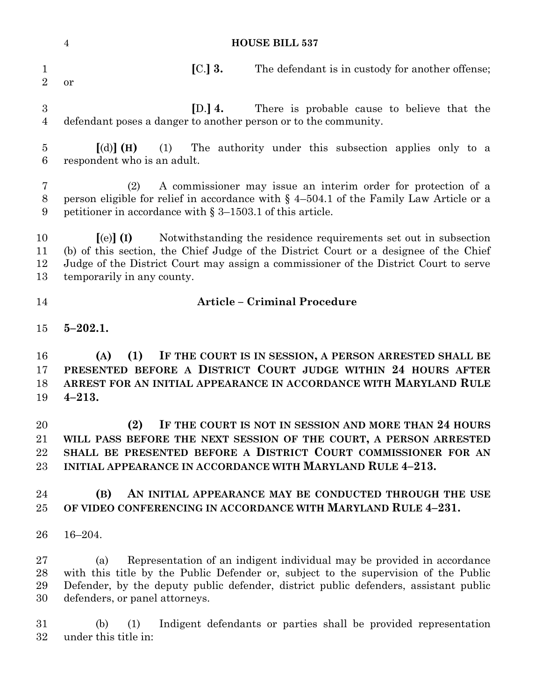|                                | <b>HOUSE BILL 537</b><br>$\overline{4}$                                                                                                                                                                                                                                                                            |
|--------------------------------|--------------------------------------------------------------------------------------------------------------------------------------------------------------------------------------------------------------------------------------------------------------------------------------------------------------------|
| $\mathbf{1}$<br>$\overline{2}$ | $[C.]$ 3.<br>The defendant is in custody for another offense;<br>or                                                                                                                                                                                                                                                |
| 3<br>4                         | [D.] $4.$<br>There is probable cause to believe that the<br>defendant poses a danger to another person or to the community.                                                                                                                                                                                        |
| 5<br>6                         | $\lceil$ (d) $\rceil$ (H)<br>The authority under this subsection applies only to a<br>(1)<br>respondent who is an adult.                                                                                                                                                                                           |
| 7<br>8<br>9                    | A commissioner may issue an interim order for protection of a<br>(2)<br>person eligible for relief in accordance with $\S$ 4-504.1 of the Family Law Article or a<br>petitioner in accordance with $\S 3-1503.1$ of this article.                                                                                  |
| 10<br>11<br>12<br>13           | Notwithstanding the residence requirements set out in subsection<br>$\left[ \text{(e)} \right]$ (I)<br>(b) of this section, the Chief Judge of the District Court or a designee of the Chief<br>Judge of the District Court may assign a commissioner of the District Court to serve<br>temporarily in any county. |
| 14                             | <b>Article - Criminal Procedure</b>                                                                                                                                                                                                                                                                                |
| 15                             | $5 - 202.1$ .                                                                                                                                                                                                                                                                                                      |
| 16<br>17<br>18<br>19           | IF THE COURT IS IN SESSION, A PERSON ARRESTED SHALL BE<br>(A)<br>(1)<br>PRESENTED BEFORE A DISTRICT COURT JUDGE WITHIN 24 HOURS AFTER<br>ARREST FOR AN INITIAL APPEARANCE IN ACCORDANCE WITH MARYLAND RULE<br>$4 - 213.$                                                                                           |
| 20<br>21<br>22<br>23           | (2)<br>IF THE COURT IS NOT IN SESSION AND MORE THAN 24 HOURS<br>WILL PASS BEFORE THE NEXT SESSION OF THE COURT, A PERSON ARRESTED<br>SHALL BE PRESENTED BEFORE A DISTRICT COURT COMMISSIONER FOR AN<br>INITIAL APPEARANCE IN ACCORDANCE WITH MARYLAND RULE 4-213.                                                  |
| 24<br>25                       | AN INITIAL APPEARANCE MAY BE CONDUCTED THROUGH THE USE<br>(B)<br>OF VIDEO CONFERENCING IN ACCORDANCE WITH MARYLAND RULE 4-231.                                                                                                                                                                                     |
| 26                             | $16 - 204.$                                                                                                                                                                                                                                                                                                        |
| $27\,$<br>28<br>29<br>30       | Representation of an indigent individual may be provided in accordance<br>(a)<br>with this title by the Public Defender or, subject to the supervision of the Public<br>Defender, by the deputy public defender, district public defenders, assistant public<br>defenders, or panel attorneys.                     |
| 31<br>$32\,$                   | Indigent defendants or parties shall be provided representation<br>(1)<br>(b)<br>under this title in:                                                                                                                                                                                                              |